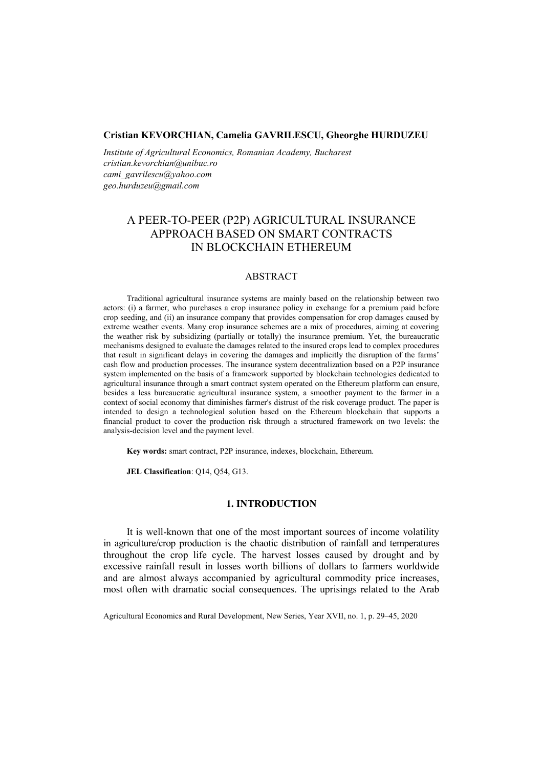### **Cristian KEVORCHIAN, Camelia GAVRILESCU, Gheorghe HURDUZEU**

*Institute of Agricultural Economics, Romanian Academy, Bucharest cristian.kevorchian@unibuc.ro cami\_gavrilescu@yahoo.com geo.hurduzeu@gmail.com*

# A PEER-TO-PEER (P2P) AGRICULTURAL INSURANCE APPROACH BASED ON SMART CONTRACTS IN BLOCKCHAIN ETHEREUM

### ABSTRACT

Traditional agricultural insurance systems are mainly based on the relationship between two actors: (i) a farmer, who purchases a crop insurance policy in exchange for a premium paid before crop seeding, and (ii) an insurance company that provides compensation for crop damages caused by extreme weather events. Many crop insurance schemes are a mix of procedures, aiming at covering the weather risk by subsidizing (partially or totally) the insurance premium. Yet, the bureaucratic mechanisms designed to evaluate the damages related to the insured crops lead to complex procedures that result in significant delays in covering the damages and implicitly the disruption of the farms' cash flow and production processes. The insurance system decentralization based on a P2P insurance system implemented on the basis of a framework supported by blockchain technologies dedicated to agricultural insurance through a smart contract system operated on the Ethereum platform can ensure, besides a less bureaucratic agricultural insurance system, a smoother payment to the farmer in a context of social economy that diminishes farmer's distrust of the risk coverage product. The paper is intended to design a technological solution based on the Ethereum blockchain that supports a financial product to cover the production risk through a structured framework on two levels: the analysis-decision level and the payment level.

**Key words:** smart contract, P2P insurance, indexes, blockchain, Ethereum.

**JEL Classification**: Q14, Q54, G13.

#### **1. INTRODUCTION**

It is well-known that one of the most important sources of income volatility in agriculture/crop production is the chaotic distribution of rainfall and temperatures throughout the crop life cycle. The harvest losses caused by drought and by excessive rainfall result in losses worth billions of dollars to farmers worldwide and are almost always accompanied by agricultural commodity price increases, most often with dramatic social consequences. The uprisings related to the Arab

Agricultural Economics and Rural Development, New Series, Year XVII, no. 1, p. 29–45, 2020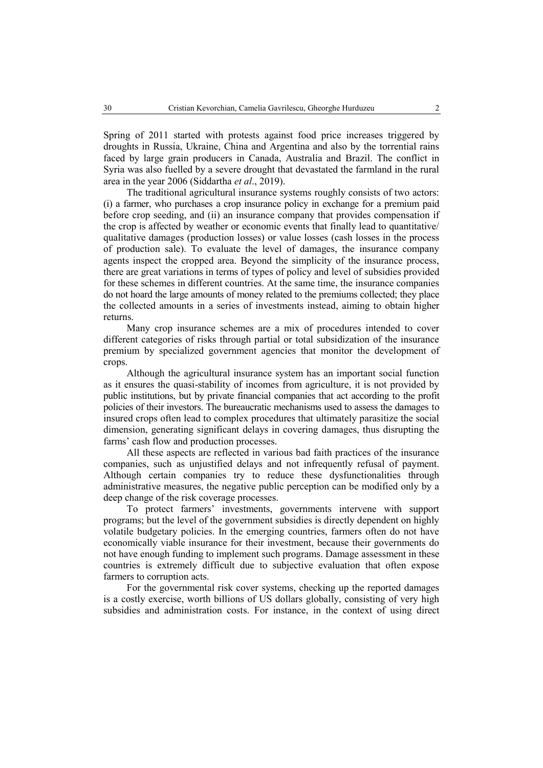Spring of 2011 started with protests against food price increases triggered by droughts in Russia, Ukraine, China and Argentina and also by the torrential rains faced by large grain producers in Canada, Australia and Brazil. The conflict in Syria was also fuelled by a severe drought that devastated the farmland in the rural area in the year 2006 (Siddartha *et al*., 2019).

The traditional agricultural insurance systems roughly consists of two actors: (i) a farmer, who purchases a crop insurance policy in exchange for a premium paid before crop seeding, and (ii) an insurance company that provides compensation if the crop is affected by weather or economic events that finally lead to quantitative/ qualitative damages (production losses) or value losses (cash losses in the process of production sale). To evaluate the level of damages, the insurance company agents inspect the cropped area. Beyond the simplicity of the insurance process, there are great variations in terms of types of policy and level of subsidies provided for these schemes in different countries. At the same time, the insurance companies do not hoard the large amounts of money related to the premiums collected; they place the collected amounts in a series of investments instead, aiming to obtain higher returns.

Many crop insurance schemes are a mix of procedures intended to cover different categories of risks through partial or total subsidization of the insurance premium by specialized government agencies that monitor the development of crops.

Although the agricultural insurance system has an important social function as it ensures the quasi-stability of incomes from agriculture, it is not provided by public institutions, but by private financial companies that act according to the profit policies of their investors. The bureaucratic mechanisms used to assess the damages to insured crops often lead to complex procedures that ultimately parasitize the social dimension, generating significant delays in covering damages, thus disrupting the farms' cash flow and production processes.

All these aspects are reflected in various bad faith practices of the insurance companies, such as unjustified delays and not infrequently refusal of payment. Although certain companies try to reduce these dysfunctionalities through administrative measures, the negative public perception can be modified only by a deep change of the risk coverage processes.

To protect farmers' investments, governments intervene with support programs; but the level of the government subsidies is directly dependent on highly volatile budgetary policies. In the emerging countries, farmers often do not have economically viable insurance for their investment, because their governments do not have enough funding to implement such programs. Damage assessment in these countries is extremely difficult due to subjective evaluation that often expose farmers to corruption acts.

For the governmental risk cover systems, checking up the reported damages is a costly exercise, worth billions of US dollars globally, consisting of very high subsidies and administration costs. For instance, in the context of using direct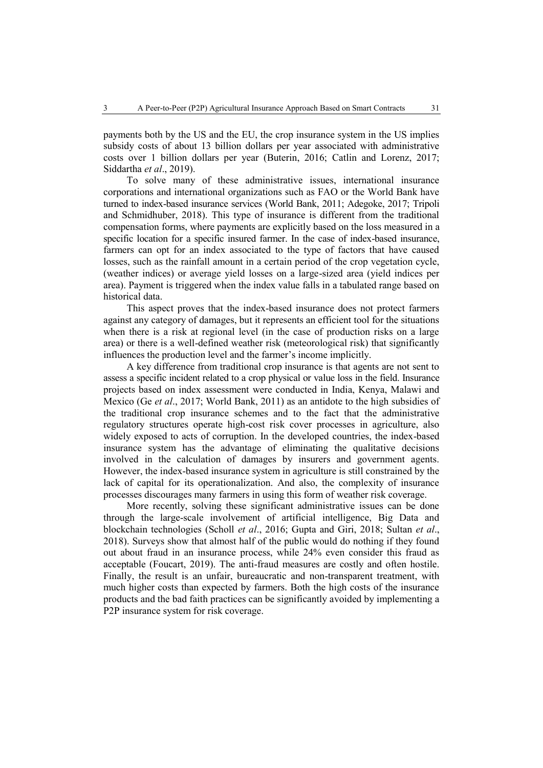payments both by the US and the EU, the crop insurance system in the US implies subsidy costs of about 13 billion dollars per year associated with administrative costs over 1 billion dollars per year (Buterin, 2016; Catlin and Lorenz, 2017; Siddartha *et al*., 2019).

To solve many of these administrative issues, international insurance corporations and international organizations such as FAO or the World Bank have turned to index-based insurance services (World Bank, 2011; Adegoke, 2017; Tripoli and Schmidhuber, 2018). This type of insurance is different from the traditional compensation forms, where payments are explicitly based on the loss measured in a specific location for a specific insured farmer. In the case of index-based insurance, farmers can opt for an index associated to the type of factors that have caused losses, such as the rainfall amount in a certain period of the crop vegetation cycle, (weather indices) or average yield losses on a large-sized area (yield indices per area). Payment is triggered when the index value falls in a tabulated range based on historical data.

This aspect proves that the index-based insurance does not protect farmers against any category of damages, but it represents an efficient tool for the situations when there is a risk at regional level (in the case of production risks on a large area) or there is a well-defined weather risk (meteorological risk) that significantly influences the production level and the farmer's income implicitly.

A key difference from traditional crop insurance is that agents are not sent to assess a specific incident related to a crop physical or value loss in the field. Insurance projects based on index assessment were conducted in India, Kenya, Malawi and Mexico (Ge *et al*., 2017; World Bank, 2011) as an antidote to the high subsidies of the traditional crop insurance schemes and to the fact that the administrative regulatory structures operate high-cost risk cover processes in agriculture, also widely exposed to acts of corruption. In the developed countries, the index-based insurance system has the advantage of eliminating the qualitative decisions involved in the calculation of damages by insurers and government agents. However, the index-based insurance system in agriculture is still constrained by the lack of capital for its operationalization. And also, the complexity of insurance processes discourages many farmers in using this form of weather risk coverage.

More recently, solving these significant administrative issues can be done through the large-scale involvement of artificial intelligence, Big Data and blockchain technologies (Scholl *et al*., 2016; Gupta and Giri, 2018; Sultan *et al*., 2018). Surveys show that almost half of the public would do nothing if they found out about fraud in an insurance process, while 24% even consider this fraud as acceptable (Foucart, 2019). The anti-fraud measures are costly and often hostile. Finally, the result is an unfair, bureaucratic and non-transparent treatment, with much higher costs than expected by farmers. Both the high costs of the insurance products and the bad faith practices can be significantly avoided by implementing a P2P insurance system for risk coverage.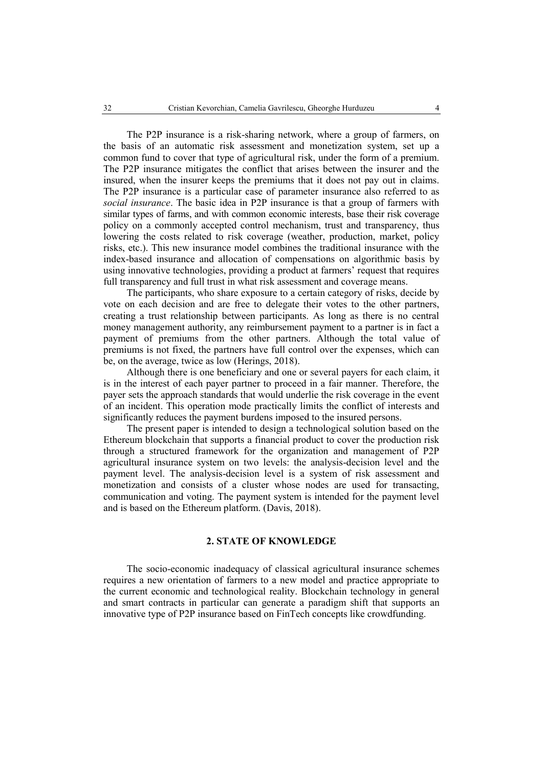The P2P insurance is a risk-sharing network, where a group of farmers, on the basis of an automatic risk assessment and monetization system, set up a common fund to cover that type of agricultural risk, under the form of a premium. The P2P insurance mitigates the conflict that arises between the insurer and the insured, when the insurer keeps the premiums that it does not pay out in claims. The P2P insurance is a particular case of parameter insurance also referred to as *social insurance*. The basic idea in P2P insurance is that a group of farmers with similar types of farms, and with common economic interests, base their risk coverage policy on a commonly accepted control mechanism, trust and transparency, thus lowering the costs related to risk coverage (weather, production, market, policy risks, etc.). This new insurance model combines the traditional insurance with the index-based insurance and allocation of compensations on algorithmic basis by using innovative technologies, providing a product at farmers' request that requires full transparency and full trust in what risk assessment and coverage means.

The participants, who share exposure to a certain category of risks, decide by vote on each decision and are free to delegate their votes to the other partners, creating a trust relationship between participants. As long as there is no central money management authority, any reimbursement payment to a partner is in fact a payment of premiums from the other partners. Although the total value of premiums is not fixed, the partners have full control over the expenses, which can be, on the average, twice as low (Herings, 2018).

Although there is one beneficiary and one or several payers for each claim, it is in the interest of each payer partner to proceed in a fair manner. Therefore, the payer sets the approach standards that would underlie the risk coverage in the event of an incident. This operation mode practically limits the conflict of interests and significantly reduces the payment burdens imposed to the insured persons.

The present paper is intended to design a technological solution based on the Ethereum blockchain that supports a financial product to cover the production risk through a structured framework for the organization and management of P2P agricultural insurance system on two levels: the analysis-decision level and the payment level. The analysis-decision level is a system of risk assessment and monetization and consists of a cluster whose nodes are used for transacting, communication and voting. The payment system is intended for the payment level and is based on the Ethereum platform. (Davis, 2018).

### **2. STATE OF KNOWLEDGE**

The socio-economic inadequacy of classical agricultural insurance schemes requires a new orientation of farmers to a new model and practice appropriate to the current economic and technological reality. Blockchain technology in general and smart contracts in particular can generate a paradigm shift that supports an innovative type of P2P insurance based on FinTech concepts like crowdfunding.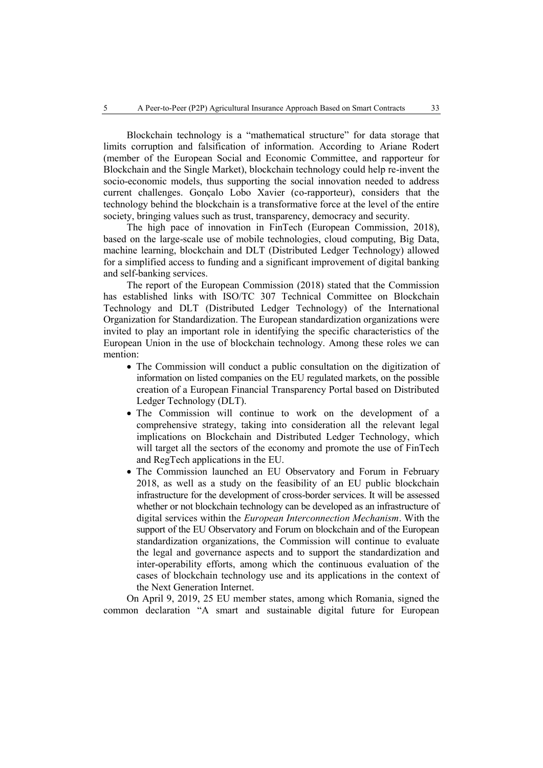Blockchain technology is a "mathematical structure" for data storage that limits corruption and falsification of information. According to Ariane Rodert (member of the European Social and Economic Committee, and rapporteur for Blockchain and the Single Market), blockchain technology could help re-invent the socio-economic models, thus supporting the social innovation needed to address current challenges. Gonçalo Lobo Xavier (co-rapporteur), considers that the technology behind the blockchain is a transformative force at the level of the entire society, bringing values such as trust, transparency, democracy and security.

The high pace of innovation in FinTech (European Commission, 2018), based on the large-scale use of mobile technologies, cloud computing, Big Data, machine learning, blockchain and DLT (Distributed Ledger Technology) allowed for a simplified access to funding and a significant improvement of digital banking and self-banking services.

The report of the European Commission (2018) stated that the Commission has established links with ISO/TC 307 Technical Committee on Blockchain Technology and DLT (Distributed Ledger Technology) of the International Organization for Standardization. The European standardization organizations were invited to play an important role in identifying the specific characteristics of the European Union in the use of blockchain technology. Among these roles we can mention:

- The Commission will conduct a public consultation on the digitization of information on listed companies on the EU regulated markets, on the possible creation of a European Financial Transparency Portal based on Distributed Ledger Technology (DLT).
- The Commission will continue to work on the development of a comprehensive strategy, taking into consideration all the relevant legal implications on Blockchain and Distributed Ledger Technology, which will target all the sectors of the economy and promote the use of FinTech and RegTech applications in the EU.
- The Commission launched an EU Observatory and Forum in February 2018, as well as a study on the feasibility of an EU public blockchain infrastructure for the development of cross-border services. It will be assessed whether or not blockchain technology can be developed as an infrastructure of digital services within the *European Interconnection Mechanism*. With the support of the EU Observatory and Forum on blockchain and of the European standardization organizations, the Commission will continue to evaluate the legal and governance aspects and to support the standardization and inter-operability efforts, among which the continuous evaluation of the cases of blockchain technology use and its applications in the context of the Next Generation Internet.

On April 9, 2019, 25 EU member states, among which Romania, signed the common declaration "A smart and sustainable digital future for European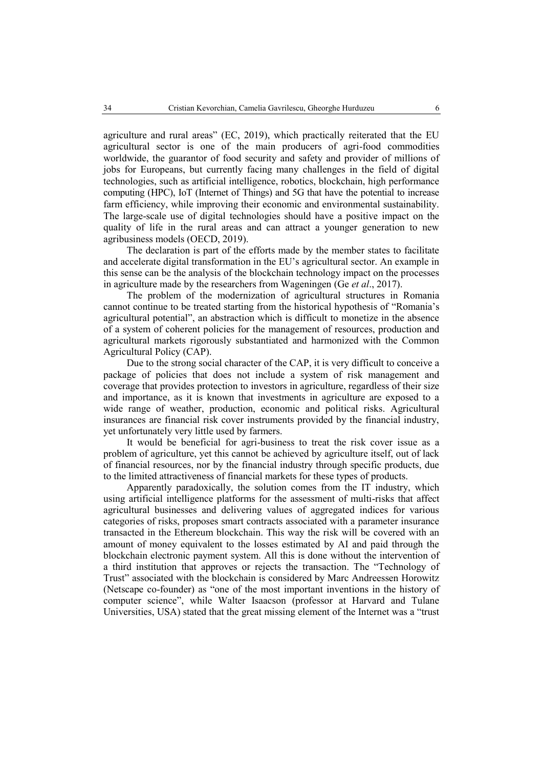agriculture and rural areas" (EC, 2019), which practically reiterated that the EU agricultural sector is one of the main producers of agri-food commodities worldwide, the guarantor of food security and safety and provider of millions of jobs for Europeans, but currently facing many challenges in the field of digital technologies, such as artificial intelligence, robotics, blockchain, high performance computing (HPC), IoT (Internet of Things) and 5G that have the potential to increase farm efficiency, while improving their economic and environmental sustainability. The large-scale use of digital technologies should have a positive impact on the quality of life in the rural areas and can attract a younger generation to new agribusiness models (OECD, 2019).

The declaration is part of the efforts made by the member states to facilitate and accelerate digital transformation in the EU's agricultural sector. An example in this sense can be the analysis of the blockchain technology impact on the processes in agriculture made by the researchers from Wageningen (Ge *et al*., 2017).

The problem of the modernization of agricultural structures in Romania cannot continue to be treated starting from the historical hypothesis of "Romania's agricultural potential", an abstraction which is difficult to monetize in the absence of a system of coherent policies for the management of resources, production and agricultural markets rigorously substantiated and harmonized with the Common Agricultural Policy (CAP).

Due to the strong social character of the CAP, it is very difficult to conceive a package of policies that does not include a system of risk management and coverage that provides protection to investors in agriculture, regardless of their size and importance, as it is known that investments in agriculture are exposed to a wide range of weather, production, economic and political risks. Agricultural insurances are financial risk cover instruments provided by the financial industry, yet unfortunately very little used by farmers.

It would be beneficial for agri-business to treat the risk cover issue as a problem of agriculture, yet this cannot be achieved by agriculture itself, out of lack of financial resources, nor by the financial industry through specific products, due to the limited attractiveness of financial markets for these types of products.

Apparently paradoxically, the solution comes from the IT industry, which using artificial intelligence platforms for the assessment of multi-risks that affect agricultural businesses and delivering values of aggregated indices for various categories of risks, proposes smart contracts associated with a parameter insurance transacted in the Ethereum blockchain. This way the risk will be covered with an amount of money equivalent to the losses estimated by AI and paid through the blockchain electronic payment system. All this is done without the intervention of a third institution that approves or rejects the transaction. The "Technology of Trust" associated with the blockchain is considered by Marc Andreessen Horowitz (Netscape co-founder) as "one of the most important inventions in the history of computer science", while Walter Isaacson (professor at Harvard and Tulane Universities, USA) stated that the great missing element of the Internet was a "trust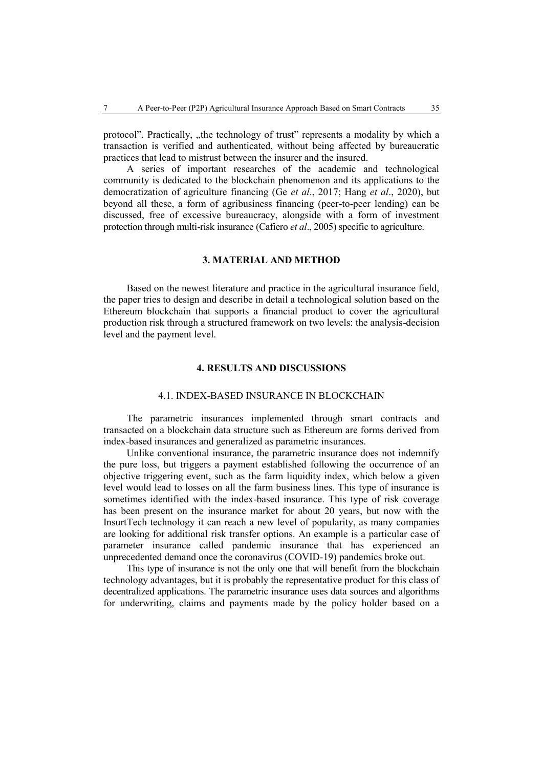protocol". Practically, "the technology of trust" represents a modality by which a transaction is verified and authenticated, without being affected by bureaucratic practices that lead to mistrust between the insurer and the insured.

A series of important researches of the academic and technological community is dedicated to the blockchain phenomenon and its applications to the democratization of agriculture financing (Ge *et al*., 2017; Hang *et al*., 2020), but beyond all these, a form of agribusiness financing (peer-to-peer lending) can be discussed, free of excessive bureaucracy, alongside with a form of investment protection through multi-risk insurance (Cafiero *et al*., 2005) specific to agriculture.

### **3. MATERIAL AND METHOD**

Based on the newest literature and practice in the agricultural insurance field, the paper tries to design and describe in detail a technological solution based on the Ethereum blockchain that supports a financial product to cover the agricultural production risk through a structured framework on two levels: the analysis-decision level and the payment level.

### **4. RESULTS AND DISCUSSIONS**

# 4.1. INDEX-BASED INSURANCE IN BLOCKCHAIN

The parametric insurances implemented through smart contracts and transacted on a blockchain data structure such as Ethereum are forms derived from index-based insurances and generalized as parametric insurances.

Unlike conventional insurance, the parametric insurance does not indemnify the pure loss, but triggers a payment established following the occurrence of an objective triggering event, such as the farm liquidity index, which below a given level would lead to losses on all the farm business lines. This type of insurance is sometimes identified with the index-based insurance. This type of risk coverage has been present on the insurance market for about 20 years, but now with the InsurtTech technology it can reach a new level of popularity, as many companies are looking for additional risk transfer options. An example is a particular case of parameter insurance called pandemic insurance that has experienced an unprecedented demand once the coronavirus (COVID-19) pandemics broke out.

This type of insurance is not the only one that will benefit from the blockchain technology advantages, but it is probably the representative product for this class of decentralized applications. The parametric insurance uses data sources and algorithms for underwriting, claims and payments made by the policy holder based on a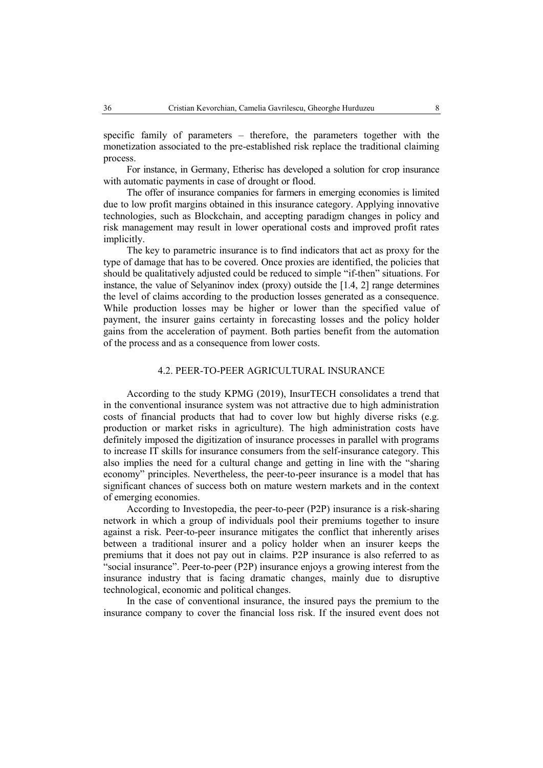specific family of parameters – therefore, the parameters together with the monetization associated to the pre-established risk replace the traditional claiming process.

For instance, in Germany, Etherisc has developed a solution for crop insurance with automatic payments in case of drought or flood.

The offer of insurance companies for farmers in emerging economies is limited due to low profit margins obtained in this insurance category. Applying innovative technologies, such as Blockchain, and accepting paradigm changes in policy and risk management may result in lower operational costs and improved profit rates implicitly.

The key to parametric insurance is to find indicators that act as proxy for the type of damage that has to be covered. Once proxies are identified, the policies that should be qualitatively adjusted could be reduced to simple "if-then" situations. For instance, the value of Selyaninov index (proxy) outside the [1.4, 2] range determines the level of claims according to the production losses generated as a consequence. While production losses may be higher or lower than the specified value of payment, the insurer gains certainty in forecasting losses and the policy holder gains from the acceleration of payment. Both parties benefit from the automation of the process and as a consequence from lower costs.

#### 4.2. PEER-TO-PEER AGRICULTURAL INSURANCE

According to the study KPMG (2019), InsurTECH consolidates a trend that in the conventional insurance system was not attractive due to high administration costs of financial products that had to cover low but highly diverse risks (e.g. production or market risks in agriculture). The high administration costs have definitely imposed the digitization of insurance processes in parallel with programs to increase IT skills for insurance consumers from the self-insurance category. This also implies the need for a cultural change and getting in line with the "sharing economy" principles. Nevertheless, the peer-to-peer insurance is a model that has significant chances of success both on mature western markets and in the context of emerging economies.

According to Investopedia, the peer-to-peer (P2P) insurance is a risk-sharing network in which a group of individuals pool their premiums together to insure against a risk. Peer-to-peer insurance mitigates the conflict that inherently arises between a traditional insurer and a policy holder when an insurer keeps the premiums that it does not pay out in claims. P2P insurance is also referred to as "social insurance". Peer-to-peer (P2P) insurance enjoys a growing interest from the insurance industry that is facing dramatic changes, mainly due to disruptive technological, economic and political changes.

In the case of conventional insurance, the insured pays the premium to the insurance company to cover the financial loss risk. If the insured event does not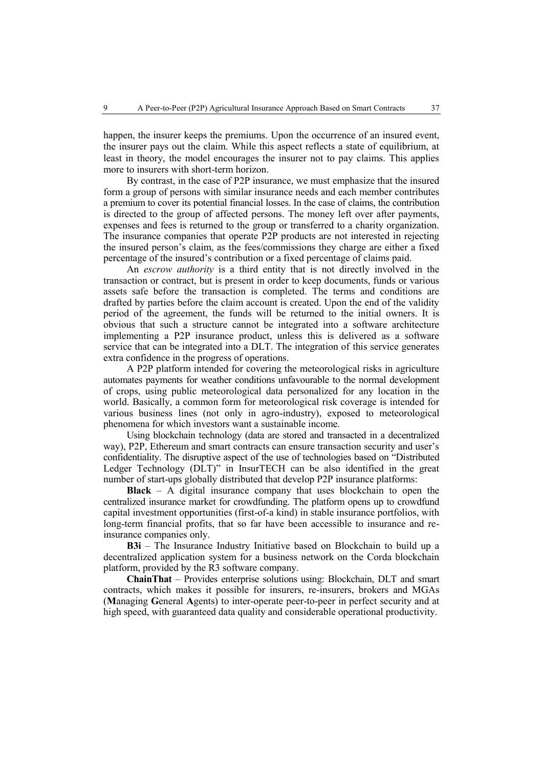happen, the insurer keeps the premiums. Upon the occurrence of an insured event, the insurer pays out the claim. While this aspect reflects a state of equilibrium, at least in theory, the model encourages the insurer not to pay claims. This applies more to insurers with short-term horizon.

By contrast, in the case of P2P insurance, we must emphasize that the insured form a group of persons with similar insurance needs and each member contributes a premium to cover its potential financial losses. In the case of claims, the contribution is directed to the group of affected persons. The money left over after payments, expenses and fees is returned to the group or transferred to a charity organization. The insurance companies that operate P2P products are not interested in rejecting the insured person's claim, as the fees/commissions they charge are either a fixed percentage of the insured's contribution or a fixed percentage of claims paid.

An *escrow authority* is a third entity that is not directly involved in the transaction or contract, but is present in order to keep documents, funds or various assets safe before the transaction is completed. The terms and conditions are drafted by parties before the claim account is created. Upon the end of the validity period of the agreement, the funds will be returned to the initial owners. It is obvious that such a structure cannot be integrated into a software architecture implementing a P2P insurance product, unless this is delivered as a software service that can be integrated into a DLT. The integration of this service generates extra confidence in the progress of operations.

A P2P platform intended for covering the meteorological risks in agriculture automates payments for weather conditions unfavourable to the normal development of crops, using public meteorological data personalized for any location in the world. Basically, a common form for meteorological risk coverage is intended for various business lines (not only in agro-industry), exposed to meteorological phenomena for which investors want a sustainable income.

Using blockchain technology (data are stored and transacted in a decentralized way), P2P, Ethereum and smart contracts can ensure transaction security and user's confidentiality. The disruptive aspect of the use of technologies based on "Distributed Ledger Technology (DLT)" in InsurTECH can be also identified in the great number of start-ups globally distributed that develop P2P insurance platforms:

**Black** – A digital insurance company that uses blockchain to open the centralized insurance market for crowdfunding. The platform opens up to crowdfund capital investment opportunities (first-of-a kind) in stable insurance portfolios, with long-term financial profits, that so far have been accessible to insurance and reinsurance companies only.

**B3i** – The Insurance Industry Initiative based on Blockchain to build up a decentralized application system for a business network on the Corda blockchain platform, provided by the R3 software company.

**ChainThat** – Provides enterprise solutions using: Blockchain, DLT and smart contracts, which makes it possible for insurers, re-insurers, brokers and MGAs (**M**anaging **G**eneral **A**gents) to inter-operate peer-to-peer in perfect security and at high speed, with guaranteed data quality and considerable operational productivity.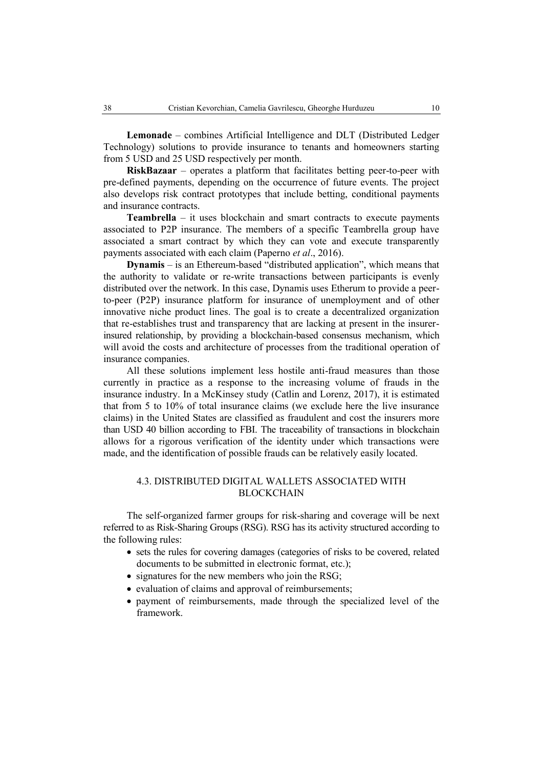**Lemonade** – combines Artificial Intelligence and DLT (Distributed Ledger Technology) solutions to provide insurance to tenants and homeowners starting from 5 USD and 25 USD respectively per month.

**RiskBazaar** – operates a platform that facilitates betting peer-to-peer with pre-defined payments, depending on the occurrence of future events. The project also develops risk contract prototypes that include betting, conditional payments and insurance contracts.

**Teambrella** – it uses blockchain and smart contracts to execute payments associated to P2P insurance. The members of a specific Teambrella group have associated a smart contract by which they can vote and execute transparently payments associated with each claim (Paperno *et al*., 2016).

**Dynamis** – is an Ethereum-based "distributed application", which means that the authority to validate or re-write transactions between participants is evenly distributed over the network. In this case, Dynamis uses Etherum to provide a peerto-peer (P2P) insurance platform for insurance of unemployment and of other innovative niche product lines. The goal is to create a decentralized organization that re-establishes trust and transparency that are lacking at present in the insurerinsured relationship, by providing a blockchain-based consensus mechanism, which will avoid the costs and architecture of processes from the traditional operation of insurance companies.

All these solutions implement less hostile anti-fraud measures than those currently in practice as a response to the increasing volume of frauds in the insurance industry. In a McKinsey study (Catlin and Lorenz, 2017), it is estimated that from 5 to 10% of total insurance claims (we exclude here the live insurance claims) in the United States are classified as fraudulent and cost the insurers more than USD 40 billion according to FBI. The traceability of transactions in blockchain allows for a rigorous verification of the identity under which transactions were made, and the identification of possible frauds can be relatively easily located.

## 4.3. DISTRIBUTED DIGITAL WALLETS ASSOCIATED WITH BLOCKCHAIN

The self-organized farmer groups for risk-sharing and coverage will be next referred to as Risk-Sharing Groups (RSG). RSG has its activity structured according to the following rules:

- sets the rules for covering damages (categories of risks to be covered, related documents to be submitted in electronic format, etc.);
- signatures for the new members who join the RSG;
- evaluation of claims and approval of reimbursements;
- payment of reimbursements, made through the specialized level of the framework.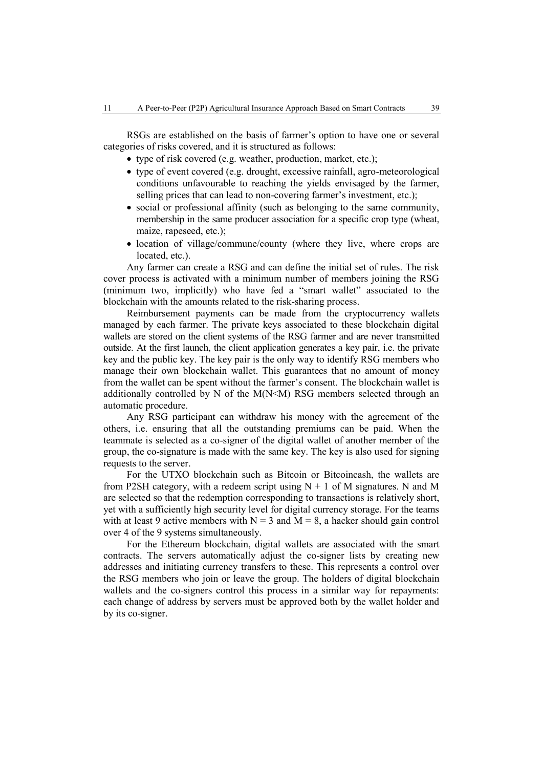RSGs are established on the basis of farmer's option to have one or several categories of risks covered, and it is structured as follows:

- type of risk covered (e.g. weather, production, market, etc.);
- type of event covered (e.g. drought, excessive rainfall, agro-meteorological conditions unfavourable to reaching the yields envisaged by the farmer, selling prices that can lead to non-covering farmer's investment, etc.);
- social or professional affinity (such as belonging to the same community, membership in the same producer association for a specific crop type (wheat, maize, rapeseed, etc.);
- location of village/commune/county (where they live, where crops are located, etc.).

Any farmer can create a RSG and can define the initial set of rules. The risk cover process is activated with a minimum number of members joining the RSG (minimum two, implicitly) who have fed a "smart wallet" associated to the blockchain with the amounts related to the risk-sharing process.

Reimbursement payments can be made from the cryptocurrency wallets managed by each farmer. The private keys associated to these blockchain digital wallets are stored on the client systems of the RSG farmer and are never transmitted outside. At the first launch, the client application generates a key pair, i.e. the private key and the public key. The key pair is the only way to identify RSG members who manage their own blockchain wallet. This guarantees that no amount of money from the wallet can be spent without the farmer's consent. The blockchain wallet is additionally controlled by N of the  $M(N \le M)$  RSG members selected through an automatic procedure.

Any RSG participant can withdraw his money with the agreement of the others, i.e. ensuring that all the outstanding premiums can be paid. When the teammate is selected as a co-signer of the digital wallet of another member of the group, the co-signature is made with the same key. The key is also used for signing requests to the server.

For the UTXO blockchain such as Bitcoin or Bitcoincash, the wallets are from P2SH category, with a redeem script using  $N + 1$  of M signatures. N and M are selected so that the redemption corresponding to transactions is relatively short, yet with a sufficiently high security level for digital currency storage. For the teams with at least 9 active members with  $N = 3$  and  $M = 8$ , a hacker should gain control over 4 of the 9 systems simultaneously.

For the Ethereum blockchain, digital wallets are associated with the smart contracts. The servers automatically adjust the co-signer lists by creating new addresses and initiating currency transfers to these. This represents a control over the RSG members who join or leave the group. The holders of digital blockchain wallets and the co-signers control this process in a similar way for repayments: each change of address by servers must be approved both by the wallet holder and by its co-signer.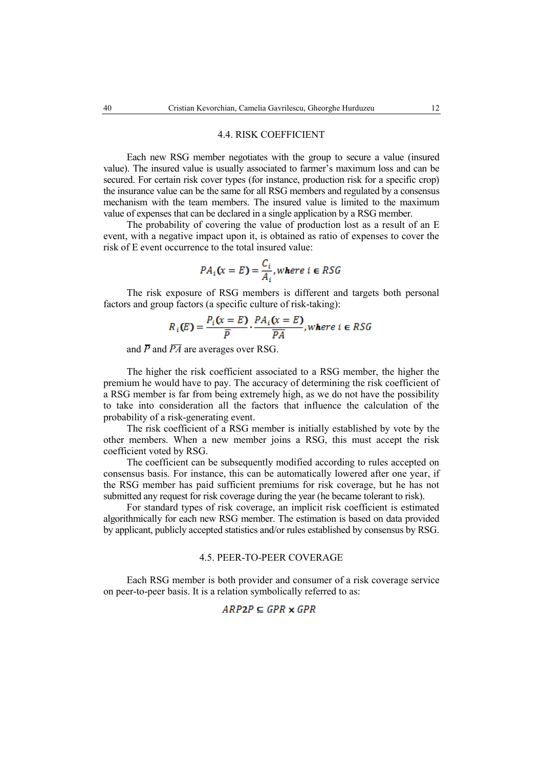#### 4.4. RISK COEFFICIENT

Each new RSG member negotiates with the group to secure a value (insured value). The insured value is usually associated to farmer's maximum loss and can be secured. For certain risk cover types (for instance, production risk for a specific crop) the insurance value can be the same for all RSG members and regulated by a consensus mechanism with the team members. The insured value is limited to the maximum value of expenses that can be declared in a single application by a RSG member.

The probability of covering the value of production lost as a result of an E event, with a negative impact upon it, is obtained as ratio of expenses to cover the risk of E event occurrence to the total insured value:

$$
PA_i(x = E) = \frac{C_i}{A_i}, where i \in RSG
$$

The risk exposure of RSG members is different and targets both personal factors and group factors (a specific culture of risk-taking):

$$
R_i(E) = \frac{P_i(x = E)}{\overline{P}} \cdot \frac{PA_i(x = E)}{\overline{PA}}, where i \in RSG
$$

and  $\overline{P}$  and  $\overline{P}\overline{A}$  are averages over RSG.

The higher the risk coefficient associated to a RSG member, the higher the premium he would have to pay. The accuracy of determining the risk coefficient of a RSG member is far from being extremely high, as we do not have the possibility to take into consideration all the factors that influence the calculation of the probability of a risk-generating event.

The risk coefficient of a RSG member is initially established by vote by the other members. When a new member joins a RSG, this must accept the risk coefficient voted by RSG.

The coefficient can be subsequently modified according to rules accepted on consensus basis. For instance, this can be automatically lowered after one year, if the RSG member has paid sufficient premiums for risk coverage, but he has not submitted any request for risk coverage during the year (he became tolerant to risk).

For standard types of risk coverage, an implicit risk coefficient is estimated algorithmically for each new RSG member. The estimation is based on data provided by applicant, publicly accepted statistics and/or rules established by consensus by RSG.

### 4.5. PEER-TO-PEER COVERAGE

Each RSG member is both provider and consumer of a risk coverage service on peer-to-peer basis. It is a relation symbolically referred to as:

## $ARP2P \subseteq GPR \times GPR$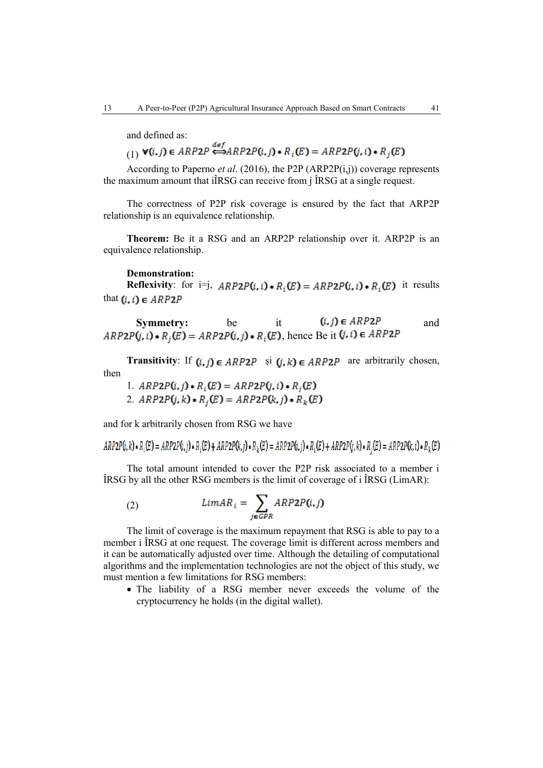and defined as:

(1)  $\forall (i, j) \in ARP2P \overset{def}{\Longleftrightarrow} ARP2P(i, j) * R_i(E) = ARP2P(j, i) * R_i(E)$ 

According to Paperno *et al*. (2016), the P2P (ARP2P(i,j)) coverage represents the maximum amount that iÎRSG can receive from j ÎRSG at a single request.

The correctness of P2P risk coverage is ensured by the fact that ARP2P relationship is an equivalence relationship.

**Theorem:** Be it a RSG and an ARP2P relationship over it. ARP2P is an equivalence relationship.

**Demonstration:**

**Reflexivity:** for  $i=j$ ,  $ARP2P(i, i) * R_i(E) = ARP2P(i, i) * R_i(E)$  it results that  $(i, i) \in ARP2P$ 

**Symmetry:** be it  $(i, j) \in ARP2P$  and , hence Be it

**Transitivity:** If  $(i, j) \in ARP2P$  si  $(j, k) \in ARP2P$  are arbitrarily chosen, then

1.  $ARP2P(i, j) * R_i(E) = ARP2P(j, i) * R_i(E)$ 

2.  $ARP2P(j, k) * R_j(E) = ARP2P(k, j) * R_k(E)$ 

and for k arbitrarily chosen from RSG we have

 $ARP2P(i,k) * R_i(E) = ARP2P(i,j) * R_i(E) + ARP2P(k,j) * R_k(E) = ARP2P(i,j) * R_i(E) + ARP2P(j,k) * R_i(E) = ARP2P(k,i) * R_k(E)$ 

The total amount intended to cover the P2P risk associated to a member i ÎRSG by all the other RSG members is the limit of coverage of i ÎRSG (LimAR):

(2) 
$$
LimAR_i = \sum_{j \in GPR} ARP2P(i,j)
$$

The limit of coverage is the maximum repayment that RSG is able to pay to a member i ÎRSG at one request. The coverage limit is different across members and it can be automatically adjusted over time. Although the detailing of computational algorithms and the implementation technologies are not the object of this study, we must mention a few limitations for RSG members:

 The liability of a RSG member never exceeds the volume of the cryptocurrency he holds (in the digital wallet).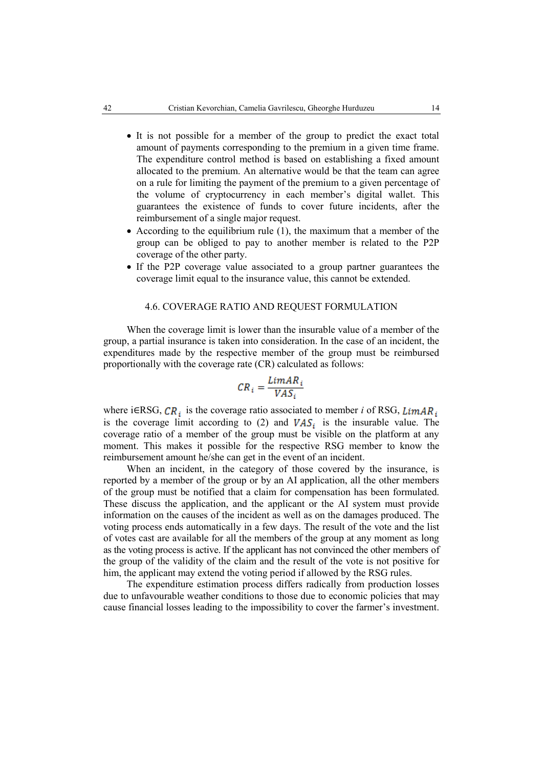- It is not possible for a member of the group to predict the exact total amount of payments corresponding to the premium in a given time frame. The expenditure control method is based on establishing a fixed amount allocated to the premium. An alternative would be that the team can agree on a rule for limiting the payment of the premium to a given percentage of the volume of cryptocurrency in each member's digital wallet. This guarantees the existence of funds to cover future incidents, after the reimbursement of a single major request.
- According to the equilibrium rule (1), the maximum that a member of the group can be obliged to pay to another member is related to the P2P coverage of the other party.
- If the P2P coverage value associated to a group partner guarantees the coverage limit equal to the insurance value, this cannot be extended.

#### 4.6. COVERAGE RATIO AND REQUEST FORMULATION

When the coverage limit is lower than the insurable value of a member of the group, a partial insurance is taken into consideration. In the case of an incident, the expenditures made by the respective member of the group must be reimbursed proportionally with the coverage rate (CR) calculated as follows:

$$
CR_i = \frac{LimAR_i}{VAS_i}
$$

where i $\in$ RSG,  $\mathbb{CR}_i$  is the coverage ratio associated to member *i* of RSG, *LimAR*<sub>*i*</sub> is the coverage limit according to (2) and  $VAS_i$  is the insurable value. The coverage ratio of a member of the group must be visible on the platform at any moment. This makes it possible for the respective RSG member to know the reimbursement amount he/she can get in the event of an incident.

When an incident, in the category of those covered by the insurance, is reported by a member of the group or by an AI application, all the other members of the group must be notified that a claim for compensation has been formulated. These discuss the application, and the applicant or the AI system must provide information on the causes of the incident as well as on the damages produced. The voting process ends automatically in a few days. The result of the vote and the list of votes cast are available for all the members of the group at any moment as long as the voting process is active. If the applicant has not convinced the other members of the group of the validity of the claim and the result of the vote is not positive for him, the applicant may extend the voting period if allowed by the RSG rules.

The expenditure estimation process differs radically from production losses due to unfavourable weather conditions to those due to economic policies that may cause financial losses leading to the impossibility to cover the farmer's investment.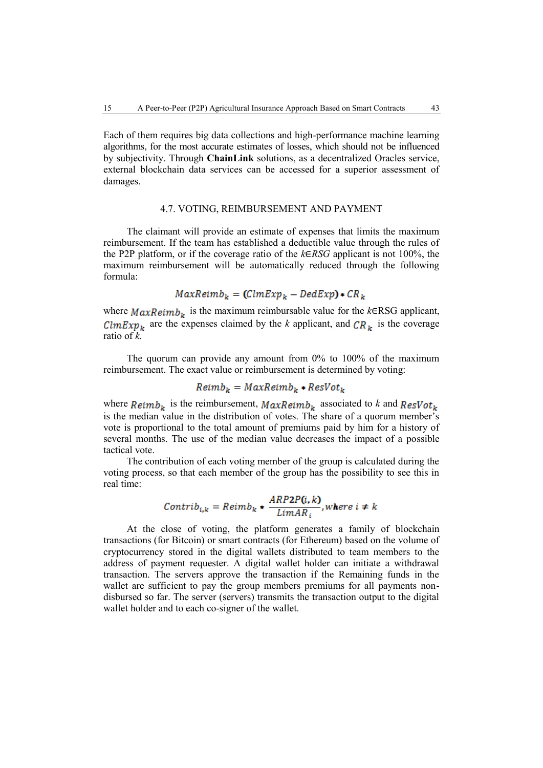Each of them requires big data collections and high-performance machine learning algorithms, for the most accurate estimates of losses, which should not be influenced by subjectivity. Through **ChainLink** solutions, as a decentralized Oracles service, external blockchain data services can be accessed for a superior assessment of damages.

### 4.7. VOTING, REIMBURSEMENT AND PAYMENT

The claimant will provide an estimate of expenses that limits the maximum reimbursement. If the team has established a deductible value through the rules of the P2P platform, or if the coverage ratio of the *k*∈*RSG* applicant is not 100%, the maximum reimbursement will be automatically reduced through the following formula:

$$
MaxReimb_k = (ClmExp_k - DedExp) \cdot CR_k
$$

where  $MaxReimb_k$  is the maximum reimbursable value for the *k*∈RSG applicant,  $ClmExp_k$  are the expenses claimed by the *k* applicant, and  $CR_k$  is the coverage ratio of *k.* 

The quorum can provide any amount from 0% to 100% of the maximum reimbursement. The exact value or reimbursement is determined by voting:

# $Reimb_k = MaxReimb_k * ResVot_k$

where  $Reimb_k$  is the reimbursement,  $MaxReimb_k$  associated to *k* and  $ResVot_k$ is the median value in the distribution of votes. The share of a quorum member's vote is proportional to the total amount of premiums paid by him for a history of several months. The use of the median value decreases the impact of a possible tactical vote.

The contribution of each voting member of the group is calculated during the voting process, so that each member of the group has the possibility to see this in real time:

$$
Contrib_{i,k} = Reimb_k * \frac{ARP2P(i,k)}{LimAR_i}, where i \neq k
$$

At the close of voting, the platform generates a family of blockchain transactions (for Bitcoin) or smart contracts (for Ethereum) based on the volume of cryptocurrency stored in the digital wallets distributed to team members to the address of payment requester. A digital wallet holder can initiate a withdrawal transaction. The servers approve the transaction if the Remaining funds in the wallet are sufficient to pay the group members premiums for all payments nondisbursed so far. The server (servers) transmits the transaction output to the digital wallet holder and to each co-signer of the wallet.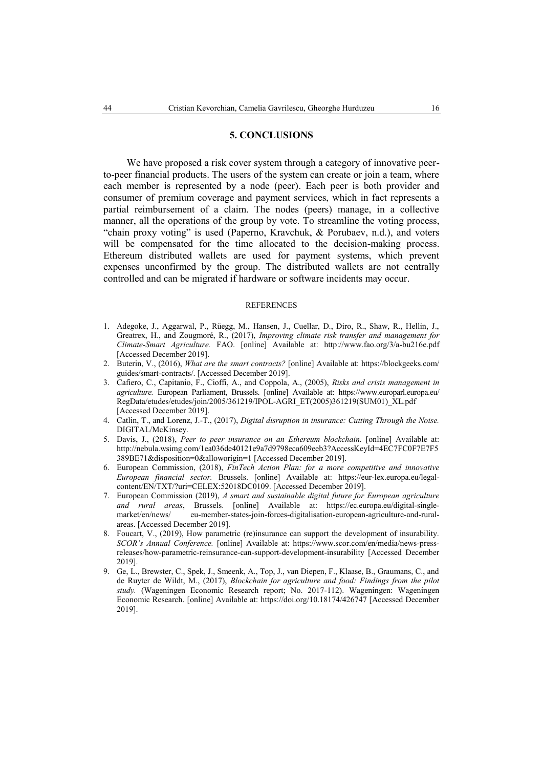#### **5. CONCLUSIONS**

We have proposed a risk cover system through a category of innovative peerto-peer financial products. The users of the system can create or join a team, where each member is represented by a node (peer). Each peer is both provider and consumer of premium coverage and payment services, which in fact represents a partial reimbursement of a claim. The nodes (peers) manage, in a collective manner, all the operations of the group by vote. To streamline the voting process, "chain proxy voting" is used (Paperno, Kravchuk, & Porubaev, n.d.), and voters will be compensated for the time allocated to the decision-making process. Ethereum distributed wallets are used for payment systems, which prevent expenses unconfirmed by the group. The distributed wallets are not centrally controlled and can be migrated if hardware or software incidents may occur.

#### **REFERENCES**

- 1. Adegoke, J., Aggarwal, P., Rüegg, M., Hansen, J., Cuellar, D., Diro, R., Shaw, R., Hellin, J., Greatrex, H., and Zougmoré, R., (2017), *Improving climate risk transfer and management for Climate-Smart Agriculture.* FAO. [online] Available at: http://www.fao.org/3/a-bu216e.pdf [Accessed December 2019].
- 2. Buterin, V., (2016), *What are the smart contracts?* [online] Available at: https://blockgeeks.com/ guides/smart-contracts/. [Accessed December 2019].
- 3. Cafiero, C., Capitanio, F., Cioffi, A., and Coppola, A., (2005), *Risks and crisis management in agriculture.* European Parliament, Brussels. [online] Available at: https://www.europarl.europa.eu/ RegData/etudes/etudes/join/2005/361219/IPOL-AGRI\_ET(2005)361219(SUM01)\_XL.pdf [Accessed December 2019].
- 4. Catlin, T., and Lorenz, J.-T., (2017), *Digital disruption in insurance: Cutting Through the Noise.* DIGITAL/McKinsey.
- 5. Davis, J., (2018), *Peer to peer insurance on an Ethereum blockchain.* [online] Available at: http://nebula.wsimg.com/1ea036de40121e9a7d9798eca609eeb3?AccessKeyId=4EC7FC0F7E7F5 389BE71&disposition=0&alloworigin=1 [Accessed December 2019].
- 6. European Commission, (2018), *FinTech Action Plan: for a more competitive and innovative European financial sector.* Brussels. [online] Available at: https://eur-lex.europa.eu/legalcontent/EN/TXT/?uri=CELEX:52018DC0109. [Accessed December 2019].
- 7. European Commission (2019), *A smart and sustainable digital future for European agriculture and rural areas*, Brussels. [online] Available at: https://ec.europa.eu/digital-singlemarket/en/news/ eu-member-states-join-forces-digitalisation-european-agriculture-and-ruralareas. [Accessed December 2019].
- 8. Foucart, V., (2019), How parametric (re)insurance can support the development of insurability. *SCOR's Annual Conference.* [online] Available at: https://www.scor.com/en/media/news-pressreleases/how-parametric-reinsurance-can-support-development-insurability [Accessed December 2019].
- 9. Ge, L., Brewster, C., Spek, J., Smeenk, A., Top, J., van Diepen, F., Klaase, B., Graumans, C., and de Ruyter de Wildt, M., (2017), *Blockchain for agriculture and food: Findings from the pilot study.* (Wageningen Economic Research report; No. 2017-112). Wageningen: Wageningen Economic Research. [online] Available at: https://doi.org/10.18174/426747 [Accessed December 2019].